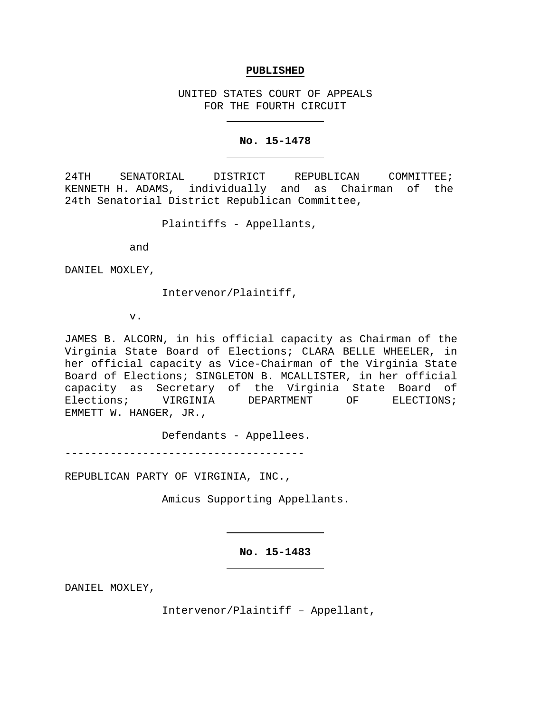#### **PUBLISHED**

UNITED STATES COURT OF APPEALS FOR THE FOURTH CIRCUIT

#### **No. 15-1478**

24TH SENATORIAL DISTRICT REPUBLICAN COMMITTEE; KENNETH H. ADAMS, individually and as Chairman of the 24th Senatorial District Republican Committee,

Plaintiffs - Appellants,

and

DANIEL MOXLEY,

Intervenor/Plaintiff,

v.

JAMES B. ALCORN, in his official capacity as Chairman of the Virginia State Board of Elections; CLARA BELLE WHEELER, in her official capacity as Vice-Chairman of the Virginia State Board of Elections; SINGLETON B. MCALLISTER, in her official capacity as Secretary of the Virginia State Board of VIRGINIA DEPARTMENT EMMETT W. HANGER, JR.,

Defendants - Appellees.

-------------------------------------

REPUBLICAN PARTY OF VIRGINIA, INC.,

Amicus Supporting Appellants.

**No. 15-1483**

DANIEL MOXLEY,

Intervenor/Plaintiff – Appellant,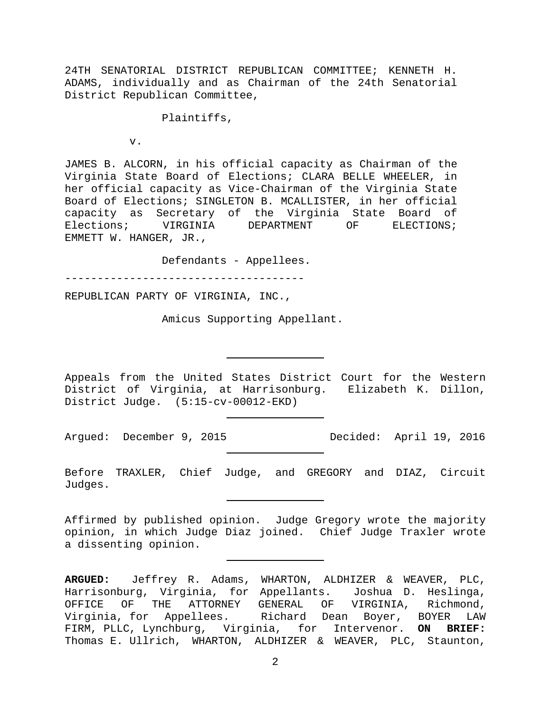24TH SENATORIAL DISTRICT REPUBLICAN COMMITTEE; KENNETH H. ADAMS, individually and as Chairman of the 24th Senatorial District Republican Committee,

Plaintiffs,

v.

JAMES B. ALCORN, in his official capacity as Chairman of the Virginia State Board of Elections; CLARA BELLE WHEELER, in her official capacity as Vice-Chairman of the Virginia State Board of Elections; SINGLETON B. MCALLISTER, in her official capacity as Secretary of the Virginia State Board of Elections; VIRGINIA DEPARTMENT OF ELECTIONS; EMMETT W. HANGER, JR.,

Defendants - Appellees.

-------------------------------------

REPUBLICAN PARTY OF VIRGINIA, INC.,

Amicus Supporting Appellant.

Appeals from the United States District Court for the Western District of Virginia, at Harrisonburg. Elizabeth K. Dillon, District Judge. (5:15-cv-00012-EKD)

Argued: December 9, 2015 Decided: April 19, 2016

Before TRAXLER, Chief Judge, and GREGORY and DIAZ, Circuit Judges.

Affirmed by published opinion. Judge Gregory wrote the majority opinion, in which Judge Diaz joined. Chief Judge Traxler wrote a dissenting opinion.

**ARGUED:** Jeffrey R. Adams, WHARTON, ALDHIZER & WEAVER, PLC, Harrisonburg, Virginia, for Appellants. Joshua D. Heslinga, THE ATTORNEY GENERAL OF VIRGINIA, Richmond, Virginia, for Appellees. Richard Dean Boyer, BOYER LAW FIRM, PLLC, Lynchburg, Virginia, for Intervenor. **ON BRIEF:** Thomas E. Ullrich, WHARTON, ALDHIZER & WEAVER, PLC, Staunton,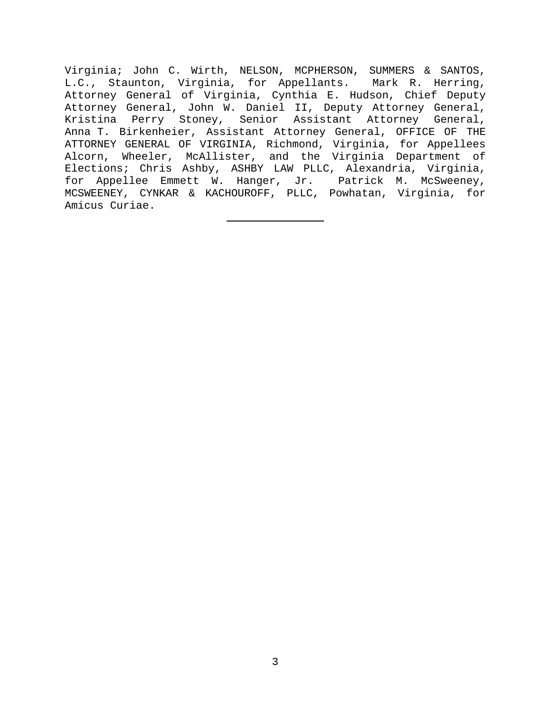Virginia; John C. Wirth, NELSON, MCPHERSON, SUMMERS & SANTOS, L.C., Staunton, Virginia, for Appellants. Mark R. Herring, Attorney General of Virginia, Cynthia E. Hudson, Chief Deputy Attorney General, John W. Daniel II, Deputy Attorney General, Kristina Perry Stoney, Senior Assistant Attorney General, Anna T. Birkenheier, Assistant Attorney General, OFFICE OF THE ATTORNEY GENERAL OF VIRGINIA, Richmond, Virginia, for Appellees Alcorn, Wheeler, McAllister, and the Virginia Department of Elections; Chris Ashby, ASHBY LAW PLLC, Alexandria, Virginia, for Appellee Emmett W. Hanger, Jr. Patrick M. McSweeney, MCSWEENEY, CYNKAR & KACHOUROFF, PLLC, Powhatan, Virginia, for Amicus Curiae.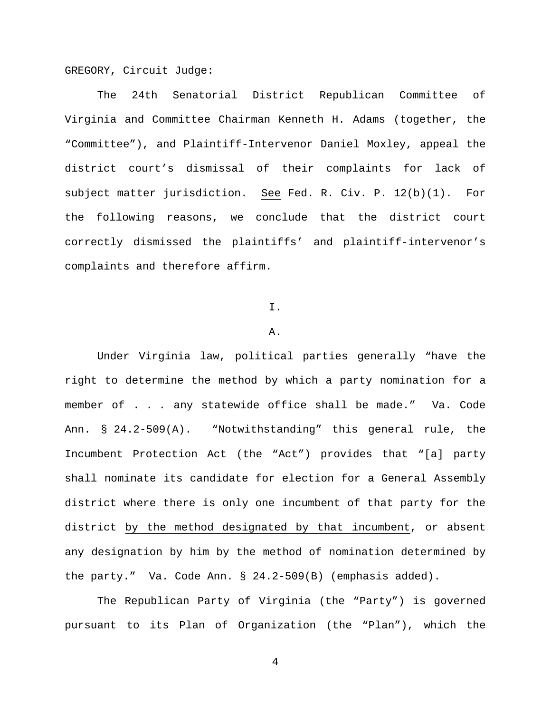GREGORY, Circuit Judge:

The 24th Senatorial District Republican Committee of Virginia and Committee Chairman Kenneth H. Adams (together, the "Committee"), and Plaintiff-Intervenor Daniel Moxley, appeal the district court's dismissal of their complaints for lack of subject matter jurisdiction. See Fed. R. Civ. P. 12(b)(1). For the following reasons, we conclude that the district court correctly dismissed the plaintiffs' and plaintiff-intervenor's complaints and therefore affirm.

## I.

# A.

Under Virginia law, political parties generally "have the right to determine the method by which a party nomination for a member of . . . any statewide office shall be made." Va. Code Ann. § 24.2-509(A). "Notwithstanding" this general rule, the Incumbent Protection Act (the "Act") provides that "[a] party shall nominate its candidate for election for a General Assembly district where there is only one incumbent of that party for the district by the method designated by that incumbent, or absent any designation by him by the method of nomination determined by the party." Va. Code Ann. § 24.2-509(B) (emphasis added).

The Republican Party of Virginia (the "Party") is governed pursuant to its Plan of Organization (the "Plan"), which the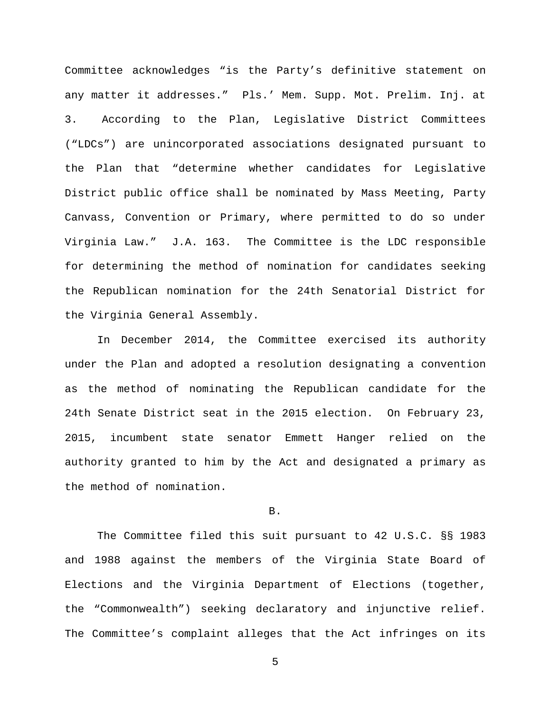Committee acknowledges "is the Party's definitive statement on any matter it addresses." Pls.' Mem. Supp. Mot. Prelim. Inj. at 3. According to the Plan, Legislative District Committees ("LDCs") are unincorporated associations designated pursuant to the Plan that "determine whether candidates for Legislative District public office shall be nominated by Mass Meeting, Party Canvass, Convention or Primary, where permitted to do so under Virginia Law." J.A. 163. The Committee is the LDC responsible for determining the method of nomination for candidates seeking the Republican nomination for the 24th Senatorial District for the Virginia General Assembly.

In December 2014, the Committee exercised its authority under the Plan and adopted a resolution designating a convention as the method of nominating the Republican candidate for the 24th Senate District seat in the 2015 election. On February 23, 2015, incumbent state senator Emmett Hanger relied on the authority granted to him by the Act and designated a primary as the method of nomination.

## B.

The Committee filed this suit pursuant to 42 U.S.C. §§ 1983 and 1988 against the members of the Virginia State Board of Elections and the Virginia Department of Elections (together, the "Commonwealth") seeking declaratory and injunctive relief. The Committee's complaint alleges that the Act infringes on its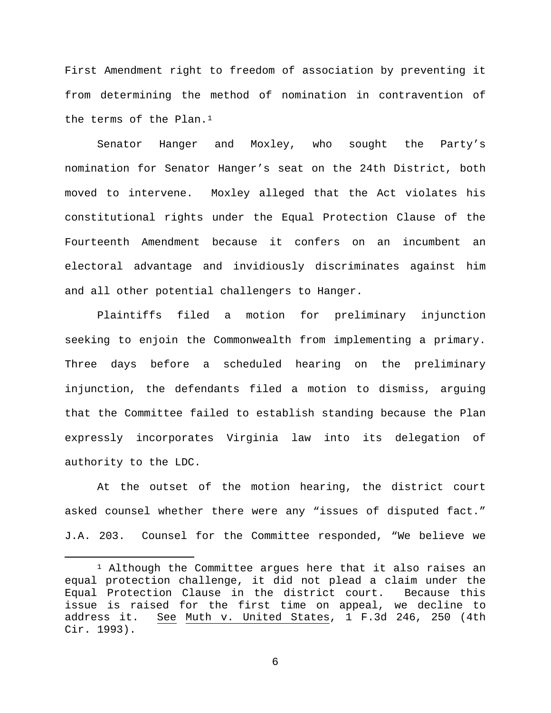First Amendment right to freedom of association by preventing it from determining the method of nomination in contravention of the terms of the Plan.<sup>[1](#page-5-0)</sup>

Senator Hanger and Moxley, who sought the Party's nomination for Senator Hanger's seat on the 24th District, both moved to intervene. Moxley alleged that the Act violates his constitutional rights under the Equal Protection Clause of the Fourteenth Amendment because it confers on an incumbent an electoral advantage and invidiously discriminates against him and all other potential challengers to Hanger.

Plaintiffs filed a motion for preliminary injunction seeking to enjoin the Commonwealth from implementing a primary. Three days before a scheduled hearing on the preliminary injunction, the defendants filed a motion to dismiss, arguing that the Committee failed to establish standing because the Plan expressly incorporates Virginia law into its delegation of authority to the LDC.

At the outset of the motion hearing, the district court asked counsel whether there were any "issues of disputed fact." J.A. 203. Counsel for the Committee responded, "We believe we

<span id="page-5-0"></span> $1$  Although the Committee argues here that it also raises an equal protection challenge, it did not plead a claim under the<br>Equal Protection Clause in the district court. Because this Equal Protection Clause in the district court. issue is raised for the first time on appeal, we decline to address it. See Muth v. United States, 1 F.3d 246, 250 (4th Cir. 1993).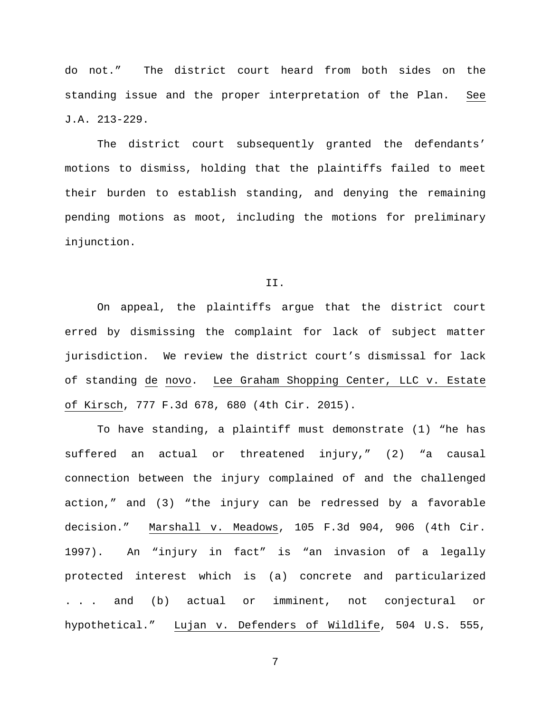do not." The district court heard from both sides on the standing issue and the proper interpretation of the Plan. See J.A. 213-229.

The district court subsequently granted the defendants' motions to dismiss, holding that the plaintiffs failed to meet their burden to establish standing, and denying the remaining pending motions as moot, including the motions for preliminary injunction.

## II.

On appeal, the plaintiffs argue that the district court erred by dismissing the complaint for lack of subject matter jurisdiction. We review the district court's dismissal for lack of standing de novo. Lee Graham Shopping Center, LLC v. Estate of Kirsch, 777 F.3d 678, 680 (4th Cir. 2015).

To have standing, a plaintiff must demonstrate (1) "he has suffered an actual or threatened injury," (2) "a causal connection between the injury complained of and the challenged action," and (3) "the injury can be redressed by a favorable decision." Marshall v. Meadows, 105 F.3d 904, 906 (4th Cir. 1997). An "injury in fact" is "an invasion of a legally protected interest which is (a) concrete and particularized . . . and (b) actual or imminent, not conjectural or hypothetical." Lujan v. Defenders of Wildlife, 504 U.S. 555,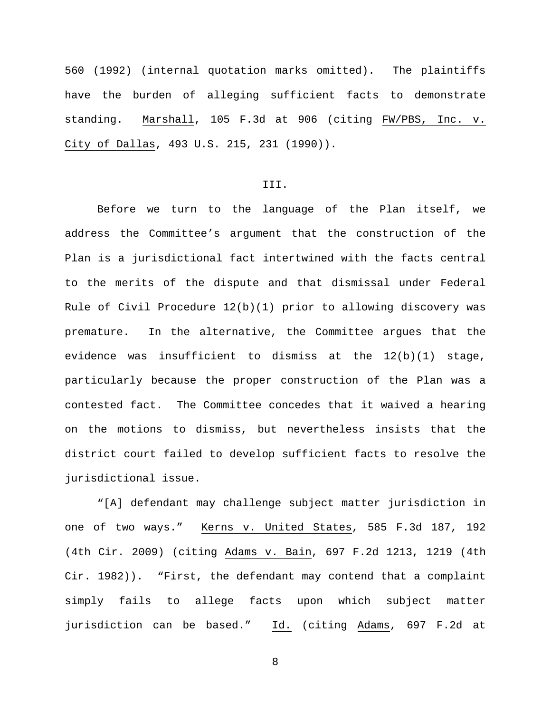560 (1992) (internal quotation marks omitted). The plaintiffs have the burden of alleging sufficient facts to demonstrate standing. Marshall, 105 F.3d at 906 (citing FW/PBS, Inc. v. City of Dallas, 493 U.S. 215, 231 (1990)).

## III.

Before we turn to the language of the Plan itself, we address the Committee's argument that the construction of the Plan is a jurisdictional fact intertwined with the facts central to the merits of the dispute and that dismissal under Federal Rule of Civil Procedure 12(b)(1) prior to allowing discovery was premature. In the alternative, the Committee argues that the evidence was insufficient to dismiss at the 12(b)(1) stage, particularly because the proper construction of the Plan was a contested fact. The Committee concedes that it waived a hearing on the motions to dismiss, but nevertheless insists that the district court failed to develop sufficient facts to resolve the jurisdictional issue.

"[A] defendant may challenge subject matter jurisdiction in one of two ways." Kerns v. United States, 585 F.3d 187, 192 (4th Cir. 2009) (citing Adams v. Bain, 697 F.2d 1213, 1219 (4th Cir. 1982)). "First, the defendant may contend that a complaint simply fails to allege facts upon which subject matter jurisdiction can be based." Id. (citing Adams, 697 F.2d at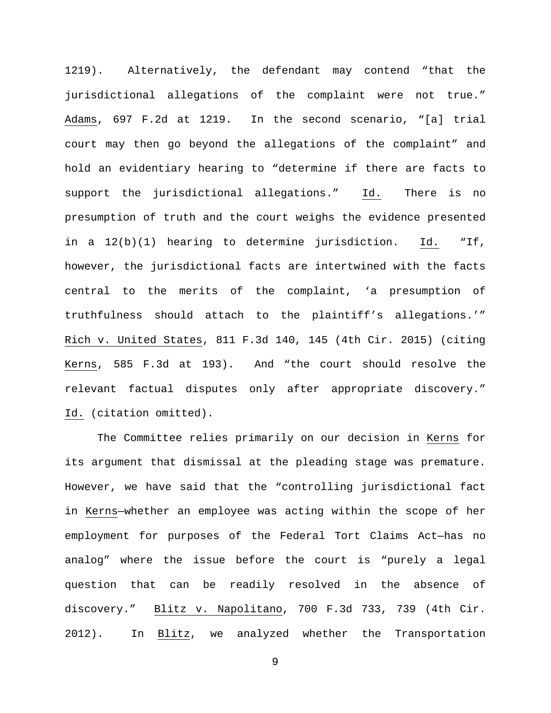1219). Alternatively, the defendant may contend "that the jurisdictional allegations of the complaint were not true." Adams, 697 F.2d at 1219. In the second scenario, "[a] trial court may then go beyond the allegations of the complaint" and hold an evidentiary hearing to "determine if there are facts to support the jurisdictional allegations." Id. There is no presumption of truth and the court weighs the evidence presented in a 12(b)(1) hearing to determine jurisdiction. Id. "If, however, the jurisdictional facts are intertwined with the facts central to the merits of the complaint, 'a presumption of truthfulness should attach to the plaintiff's allegations.'" Rich v. United States, 811 F.3d 140, 145 (4th Cir. 2015) (citing Kerns, 585 F.3d at 193). And "the court should resolve the relevant factual disputes only after appropriate discovery." Id. (citation omitted).

The Committee relies primarily on our decision in Kerns for its argument that dismissal at the pleading stage was premature. However, we have said that the "controlling jurisdictional fact in Kerns—whether an employee was acting within the scope of her employment for purposes of the Federal Tort Claims Act—has no analog" where the issue before the court is "purely a legal question that can be readily resolved in the absence of discovery." Blitz v. Napolitano, 700 F.3d 733, 739 (4th Cir. 2012). In Blitz, we analyzed whether the Transportation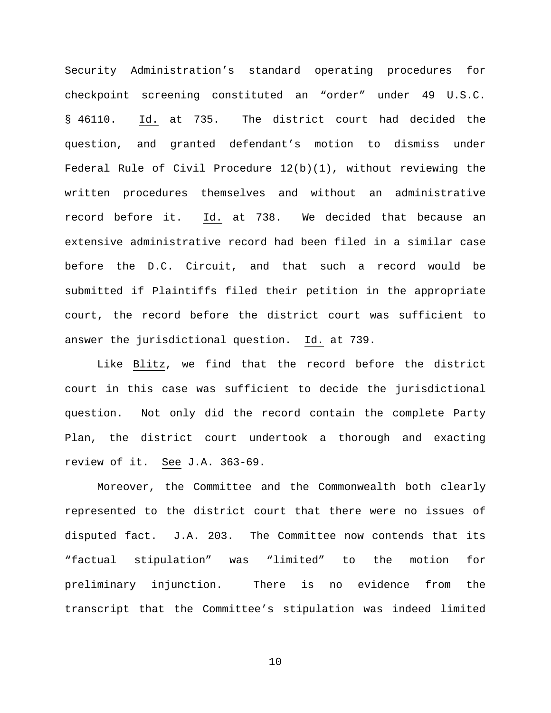Security Administration's standard operating procedures for checkpoint screening constituted an "order" under 49 U.S.C. § 46110. Id. at 735. The district court had decided the question, and granted defendant's motion to dismiss under Federal Rule of Civil Procedure  $12(b)(1)$ , without reviewing the written procedures themselves and without an administrative record before it. Id. at 738. We decided that because an extensive administrative record had been filed in a similar case before the D.C. Circuit, and that such a record would be submitted if Plaintiffs filed their petition in the appropriate court, the record before the district court was sufficient to answer the jurisdictional question. Id. at 739.

Like Blitz, we find that the record before the district court in this case was sufficient to decide the jurisdictional question. Not only did the record contain the complete Party Plan, the district court undertook a thorough and exacting review of it. See J.A. 363-69.

Moreover, the Committee and the Commonwealth both clearly represented to the district court that there were no issues of disputed fact. J.A. 203. The Committee now contends that its "factual stipulation" was "limited" to the motion for preliminary injunction. There is no evidence from the transcript that the Committee's stipulation was indeed limited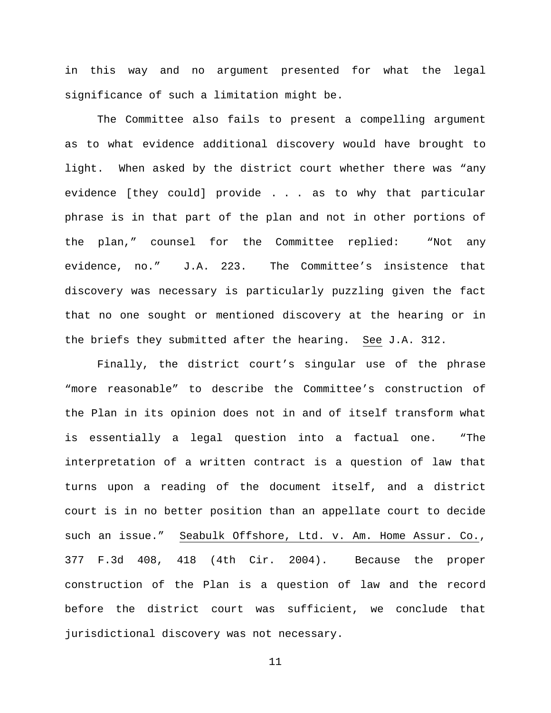in this way and no argument presented for what the legal significance of such a limitation might be.

The Committee also fails to present a compelling argument as to what evidence additional discovery would have brought to light. When asked by the district court whether there was "any evidence [they could] provide . . . as to why that particular phrase is in that part of the plan and not in other portions of the plan," counsel for the Committee replied: "Not any evidence, no." J.A. 223. The Committee's insistence that discovery was necessary is particularly puzzling given the fact that no one sought or mentioned discovery at the hearing or in the briefs they submitted after the hearing. See J.A. 312.

Finally, the district court's singular use of the phrase "more reasonable" to describe the Committee's construction of the Plan in its opinion does not in and of itself transform what is essentially a legal question into a factual one. "The interpretation of a written contract is a question of law that turns upon a reading of the document itself, and a district court is in no better position than an appellate court to decide such an issue." Seabulk Offshore, Ltd. v. Am. Home Assur. Co., 377 F.3d 408, 418 (4th Cir. 2004). Because the proper construction of the Plan is a question of law and the record before the district court was sufficient, we conclude that jurisdictional discovery was not necessary.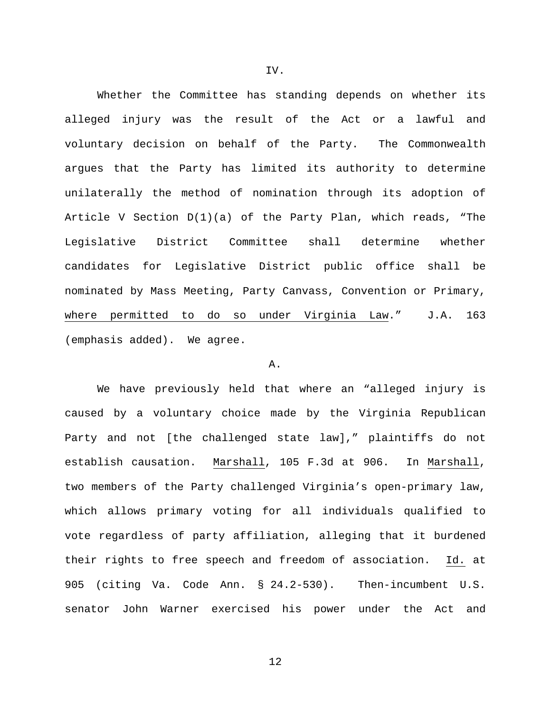Whether the Committee has standing depends on whether its alleged injury was the result of the Act or a lawful and voluntary decision on behalf of the Party. The Commonwealth argues that the Party has limited its authority to determine unilaterally the method of nomination through its adoption of Article V Section D(1)(a) of the Party Plan, which reads, "The Legislative District Committee shall determine whether candidates for Legislative District public office shall be nominated by Mass Meeting, Party Canvass, Convention or Primary, where permitted to do so under Virginia Law." J.A. 163 (emphasis added). We agree.

### A.

We have previously held that where an "alleged injury is caused by a voluntary choice made by the Virginia Republican Party and not [the challenged state law]," plaintiffs do not establish causation. Marshall, 105 F.3d at 906. In Marshall, two members of the Party challenged Virginia's open-primary law, which allows primary voting for all individuals qualified to vote regardless of party affiliation, alleging that it burdened their rights to free speech and freedom of association. Id. at 905 (citing Va. Code Ann. § 24.2-530). Then-incumbent U.S. senator John Warner exercised his power under the Act and

IV.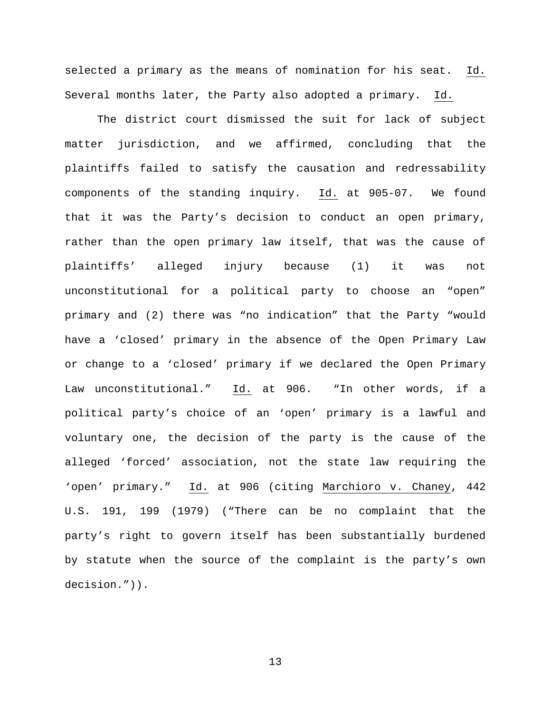selected a primary as the means of nomination for his seat. Id. Several months later, the Party also adopted a primary. Id.

The district court dismissed the suit for lack of subject matter jurisdiction, and we affirmed, concluding that the plaintiffs failed to satisfy the causation and redressability components of the standing inquiry. Id. at 905-07. We found that it was the Party's decision to conduct an open primary, rather than the open primary law itself, that was the cause of plaintiffs' alleged injury because (1) it was not unconstitutional for a political party to choose an "open" primary and (2) there was "no indication" that the Party "would have a 'closed' primary in the absence of the Open Primary Law or change to a 'closed' primary if we declared the Open Primary Law unconstitutional." Id. at 906. "In other words, if a political party's choice of an 'open' primary is a lawful and voluntary one, the decision of the party is the cause of the alleged 'forced' association, not the state law requiring the 'open' primary." Id. at 906 (citing Marchioro v. Chaney, 442 U.S. 191, 199 (1979) ("There can be no complaint that the party's right to govern itself has been substantially burdened by statute when the source of the complaint is the party's own decision.")).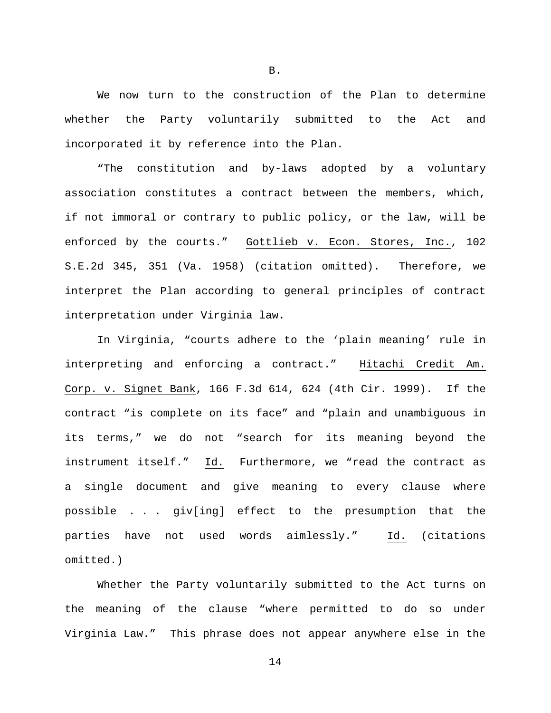We now turn to the construction of the Plan to determine whether the Party voluntarily submitted to the Act and incorporated it by reference into the Plan.

"The constitution and by-laws adopted by a voluntary association constitutes a contract between the members, which, if not immoral or contrary to public policy, or the law, will be enforced by the courts." Gottlieb v. Econ. Stores, Inc., 102 S.E.2d 345, 351 (Va. 1958) (citation omitted). Therefore, we interpret the Plan according to general principles of contract interpretation under Virginia law.

In Virginia, "courts adhere to the 'plain meaning' rule in interpreting and enforcing a contract." Hitachi Credit Am. Corp. v. Signet Bank, 166 F.3d 614, 624 (4th Cir. 1999). If the contract "is complete on its face" and "plain and unambiguous in its terms," we do not "search for its meaning beyond the instrument itself." Id. Furthermore, we "read the contract as a single document and give meaning to every clause where possible . . . giv[ing] effect to the presumption that the parties have not used words aimlessly." Id. (citations omitted.)

Whether the Party voluntarily submitted to the Act turns on the meaning of the clause "where permitted to do so under Virginia Law." This phrase does not appear anywhere else in the

B.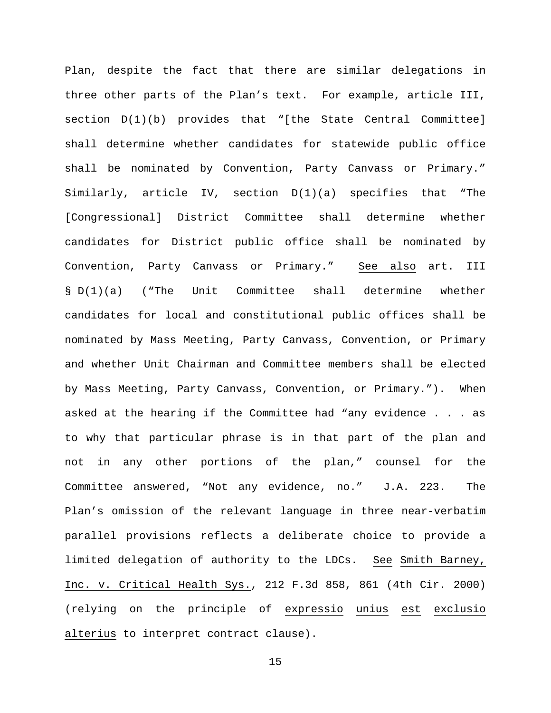Plan, despite the fact that there are similar delegations in three other parts of the Plan's text. For example, article III, section D(1)(b) provides that "[the State Central Committee] shall determine whether candidates for statewide public office shall be nominated by Convention, Party Canvass or Primary." Similarly, article IV, section D(1)(a) specifies that "The [Congressional] District Committee shall determine whether candidates for District public office shall be nominated by Convention, Party Canvass or Primary." See also art. III § D(1)(a) ("The Unit Committee shall determine whether candidates for local and constitutional public offices shall be nominated by Mass Meeting, Party Canvass, Convention, or Primary and whether Unit Chairman and Committee members shall be elected by Mass Meeting, Party Canvass, Convention, or Primary."). When asked at the hearing if the Committee had "any evidence . . . as to why that particular phrase is in that part of the plan and not in any other portions of the plan," counsel for the Committee answered, "Not any evidence, no." J.A. 223. The Plan's omission of the relevant language in three near-verbatim parallel provisions reflects a deliberate choice to provide a limited delegation of authority to the LDCs. See Smith Barney, Inc. v. Critical Health Sys., 212 F.3d 858, 861 (4th Cir. 2000) (relying on the principle of expressio unius est exclusio alterius to interpret contract clause).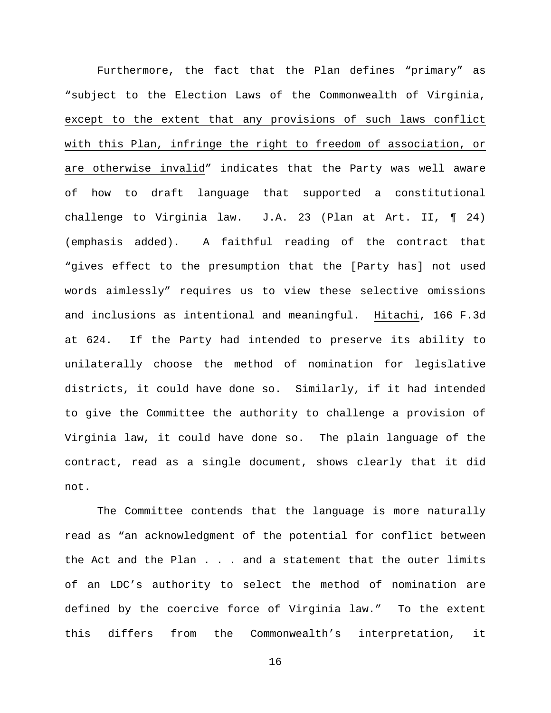Furthermore, the fact that the Plan defines "primary" as "subject to the Election Laws of the Commonwealth of Virginia, except to the extent that any provisions of such laws conflict with this Plan, infringe the right to freedom of association, or are otherwise invalid" indicates that the Party was well aware of how to draft language that supported a constitutional challenge to Virginia law. J.A. 23 (Plan at Art. II, ¶ 24) (emphasis added). A faithful reading of the contract that "gives effect to the presumption that the [Party has] not used words aimlessly" requires us to view these selective omissions and inclusions as intentional and meaningful. Hitachi, 166 F.3d at 624. If the Party had intended to preserve its ability to unilaterally choose the method of nomination for legislative districts, it could have done so. Similarly, if it had intended to give the Committee the authority to challenge a provision of Virginia law, it could have done so. The plain language of the contract, read as a single document, shows clearly that it did not.

The Committee contends that the language is more naturally read as "an acknowledgment of the potential for conflict between the Act and the Plan . . . and a statement that the outer limits of an LDC's authority to select the method of nomination are defined by the coercive force of Virginia law." To the extent this differs from the Commonwealth's interpretation, it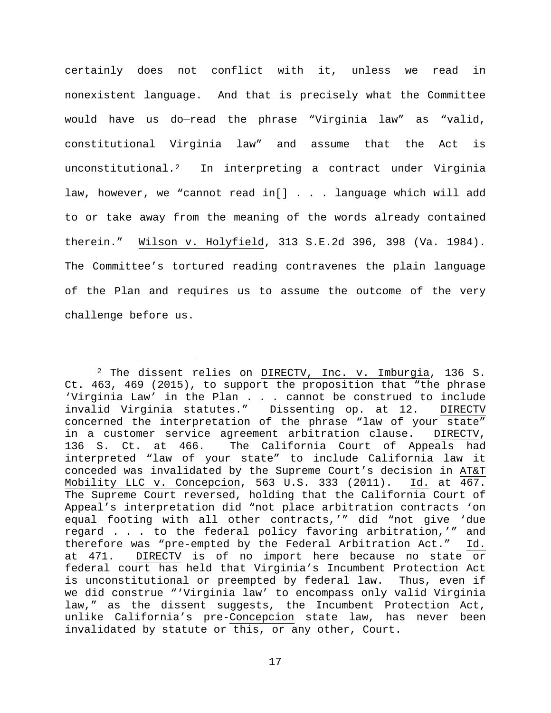certainly does not conflict with it, unless we read in nonexistent language. And that is precisely what the Committee would have us do—read the phrase "Virginia law" as "valid, constitutional Virginia law" and assume that the Act is unconstitutional.[2](#page-16-0) In interpreting a contract under Virginia law, however, we "cannot read in[] . . . language which will add to or take away from the meaning of the words already contained therein." Wilson v. Holyfield, 313 S.E.2d 396, 398 (Va. 1984). The Committee's tortured reading contravenes the plain language of the Plan and requires us to assume the outcome of the very challenge before us.

<span id="page-16-0"></span> <sup>2</sup> The dissent relies on DIRECTV, Inc. v. Imburgia, 136 S. Ct. 463, 469 (2015), to support the proposition that "the phrase 'Virginia Law' in the Plan . . . cannot be construed to include invalid Virginia statutes." Dissenting op. at 12. DIRECTV concerned the interpretation of the phrase "law of your state"<br>in a customer service agreement arbitration clause. DIRECTV, in a customer service agreement arbitration clause. 136 S. Ct. at 466. The California Court of Appeals had interpreted "law of your state" to include California law it conceded was invalidated by the Supreme Court's decision in AT&T Mobility LLC v. Concepcion, 563 U.S. 333 (2011). Id. at 467. The Supreme Court reversed, holding that the California Court of Appeal's interpretation did "not place arbitration contracts 'on equal footing with all other contracts,'" did "not give 'due regard . . . to the federal policy favoring arbitration,'" and therefore was "pre-empted by the Federal Arbitration Act." Id. at 471. DIRECTV is of no import here because no state or federal court has held that Virginia's Incumbent Protection Act is unconstitutional or preempted by federal law. Thus, even if we did construe "'Virginia law' to encompass only valid Virginia law," as the dissent suggests, the Incumbent Protection Act, unlike California's pre-Concepcion state law, has never been invalidated by statute or this, or any other, Court.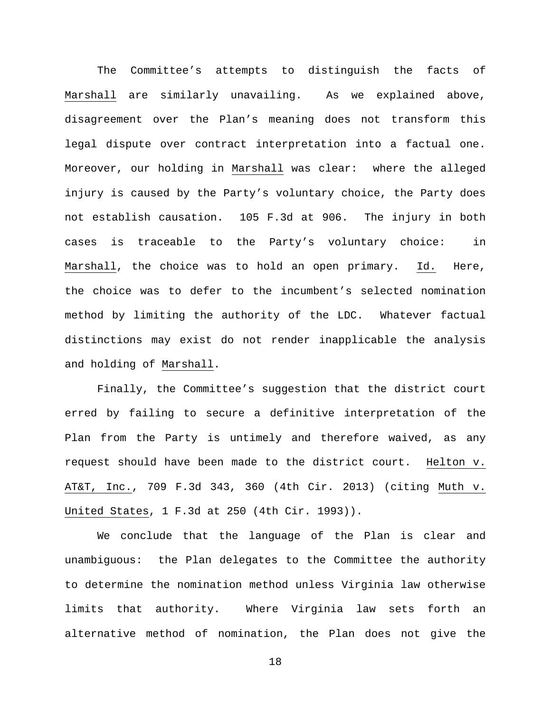The Committee's attempts to distinguish the facts of Marshall are similarly unavailing. As we explained above, disagreement over the Plan's meaning does not transform this legal dispute over contract interpretation into a factual one. Moreover, our holding in Marshall was clear: where the alleged injury is caused by the Party's voluntary choice, the Party does not establish causation. 105 F.3d at 906. The injury in both cases is traceable to the Party's voluntary choice: in Marshall, the choice was to hold an open primary. Id. Here, the choice was to defer to the incumbent's selected nomination method by limiting the authority of the LDC. Whatever factual distinctions may exist do not render inapplicable the analysis and holding of Marshall.

Finally, the Committee's suggestion that the district court erred by failing to secure a definitive interpretation of the Plan from the Party is untimely and therefore waived, as any request should have been made to the district court. Helton v. AT&T, Inc., 709 F.3d 343, 360 (4th Cir. 2013) (citing Muth v. United States, 1 F.3d at 250 (4th Cir. 1993)).

We conclude that the language of the Plan is clear and unambiguous: the Plan delegates to the Committee the authority to determine the nomination method unless Virginia law otherwise limits that authority. Where Virginia law sets forth an alternative method of nomination, the Plan does not give the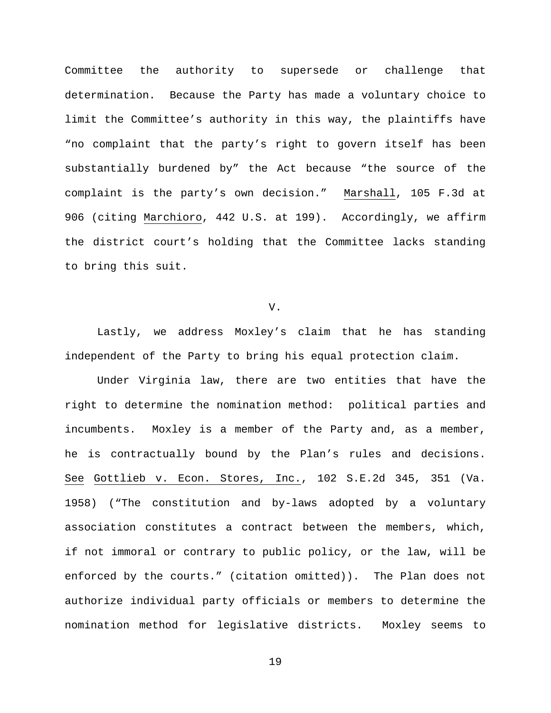Committee the authority to supersede or challenge that determination. Because the Party has made a voluntary choice to limit the Committee's authority in this way, the plaintiffs have "no complaint that the party's right to govern itself has been substantially burdened by" the Act because "the source of the complaint is the party's own decision." Marshall, 105 F.3d at 906 (citing Marchioro, 442 U.S. at 199). Accordingly, we affirm the district court's holding that the Committee lacks standing to bring this suit.

## V.

Lastly, we address Moxley's claim that he has standing independent of the Party to bring his equal protection claim.

Under Virginia law, there are two entities that have the right to determine the nomination method: political parties and incumbents. Moxley is a member of the Party and, as a member, he is contractually bound by the Plan's rules and decisions. See Gottlieb v. Econ. Stores, Inc., 102 S.E.2d 345, 351 (Va. 1958) ("The constitution and by-laws adopted by a voluntary association constitutes a contract between the members, which, if not immoral or contrary to public policy, or the law, will be enforced by the courts." (citation omitted)). The Plan does not authorize individual party officials or members to determine the nomination method for legislative districts. Moxley seems to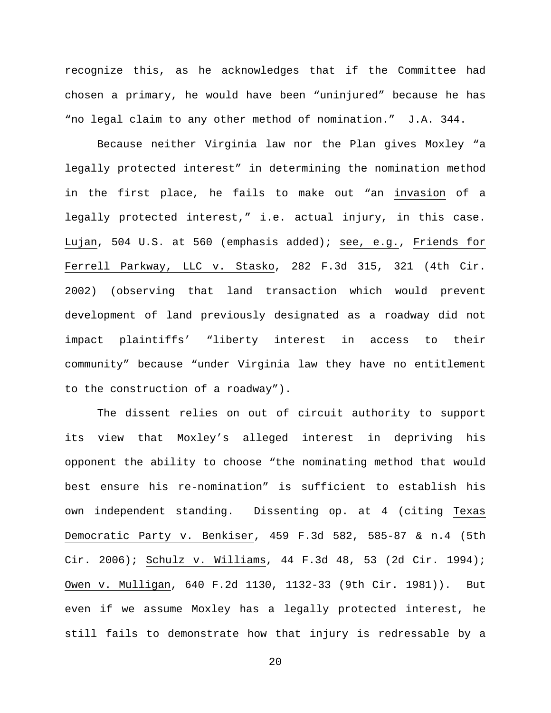recognize this, as he acknowledges that if the Committee had chosen a primary, he would have been "uninjured" because he has "no legal claim to any other method of nomination." J.A. 344.

Because neither Virginia law nor the Plan gives Moxley "a legally protected interest" in determining the nomination method in the first place, he fails to make out "an invasion of a legally protected interest," i.e. actual injury, in this case. Lujan, 504 U.S. at 560 (emphasis added); see, e.g., Friends for Ferrell Parkway, LLC v. Stasko, 282 F.3d 315, 321 (4th Cir. 2002) (observing that land transaction which would prevent development of land previously designated as a roadway did not impact plaintiffs' "liberty interest in access to their community" because "under Virginia law they have no entitlement to the construction of a roadway").

The dissent relies on out of circuit authority to support its view that Moxley's alleged interest in depriving his opponent the ability to choose "the nominating method that would best ensure his re-nomination" is sufficient to establish his own independent standing. Dissenting op. at 4 (citing Texas Democratic Party v. Benkiser, 459 F.3d 582, 585-87 & n.4 (5th Cir. 2006); Schulz v. Williams, 44 F.3d 48, 53 (2d Cir. 1994); Owen v. Mulligan, 640 F.2d 1130, 1132-33 (9th Cir. 1981)). But even if we assume Moxley has a legally protected interest, he still fails to demonstrate how that injury is redressable by a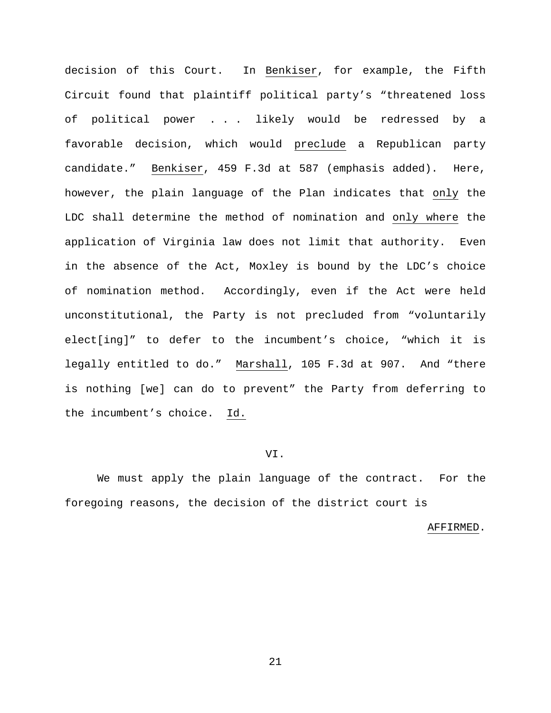decision of this Court. In Benkiser, for example, the Fifth Circuit found that plaintiff political party's "threatened loss of political power . . . likely would be redressed by a favorable decision, which would preclude a Republican party candidate." Benkiser, 459 F.3d at 587 (emphasis added). Here, however, the plain language of the Plan indicates that only the LDC shall determine the method of nomination and only where the application of Virginia law does not limit that authority. Even in the absence of the Act, Moxley is bound by the LDC's choice of nomination method. Accordingly, even if the Act were held unconstitutional, the Party is not precluded from "voluntarily elect[ing]" to defer to the incumbent's choice, "which it is legally entitled to do." Marshall, 105 F.3d at 907. And "there is nothing [we] can do to prevent" the Party from deferring to the incumbent's choice. Id.

#### VI.

We must apply the plain language of the contract. For the foregoing reasons, the decision of the district court is

#### AFFIRMED.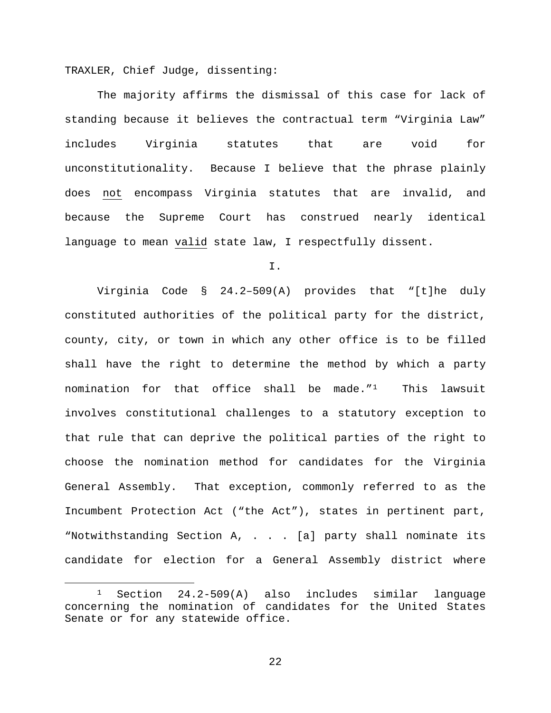TRAXLER, Chief Judge, dissenting:

The majority affirms the dismissal of this case for lack of standing because it believes the contractual term "Virginia Law" includes Virginia statutes that are void for unconstitutionality. Because I believe that the phrase plainly does not encompass Virginia statutes that are invalid, and because the Supreme Court has construed nearly identical language to mean valid state law, I respectfully dissent.

I.

Virginia Code § 24.2–509(A) provides that "[t]he duly constituted authorities of the political party for the district, county, city, or town in which any other office is to be filled shall have the right to determine the method by which a party nomination for that office shall be made.["1](#page-21-0) This lawsuit involves constitutional challenges to a statutory exception to that rule that can deprive the political parties of the right to choose the nomination method for candidates for the Virginia General Assembly. That exception, commonly referred to as the Incumbent Protection Act ("the Act"), states in pertinent part, "Notwithstanding Section A, . . . [a] party shall nominate its candidate for election for a General Assembly district where

<span id="page-21-0"></span> <sup>1</sup> Section 24.2-509(A) also includes similar language concerning the nomination of candidates for the United States Senate or for any statewide office.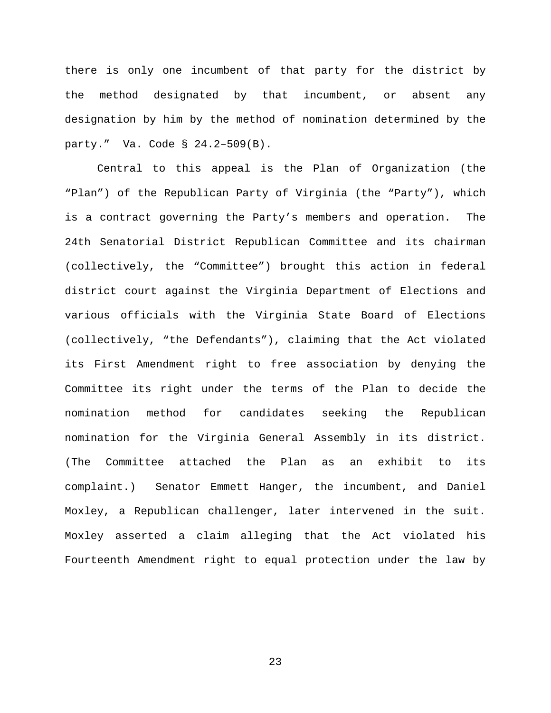there is only one incumbent of that party for the district by the method designated by that incumbent, or absent any designation by him by the method of nomination determined by the party." Va. Code § 24.2–509(B).

Central to this appeal is the Plan of Organization (the "Plan") of the Republican Party of Virginia (the "Party"), which is a contract governing the Party's members and operation. The 24th Senatorial District Republican Committee and its chairman (collectively, the "Committee") brought this action in federal district court against the Virginia Department of Elections and various officials with the Virginia State Board of Elections (collectively, "the Defendants"), claiming that the Act violated its First Amendment right to free association by denying the Committee its right under the terms of the Plan to decide the nomination method for candidates seeking the Republican nomination for the Virginia General Assembly in its district. (The Committee attached the Plan as an exhibit to its complaint.) Senator Emmett Hanger, the incumbent, and Daniel Moxley, a Republican challenger, later intervened in the suit. Moxley asserted a claim alleging that the Act violated his Fourteenth Amendment right to equal protection under the law by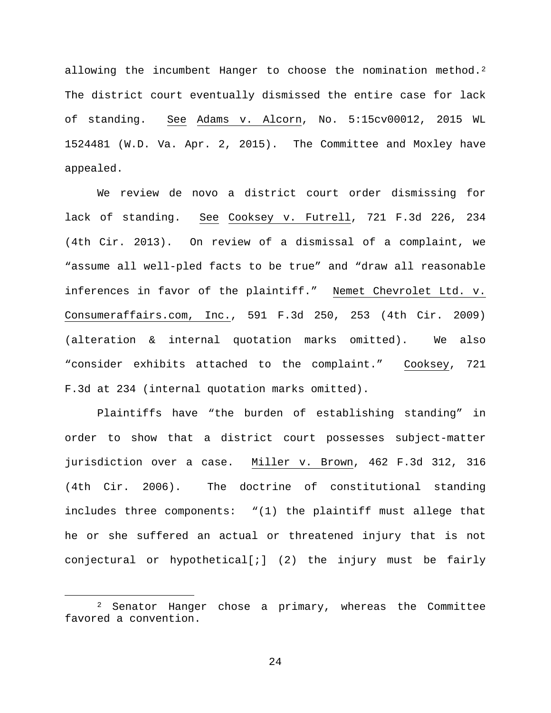allowing the incumbent Hanger to choose the nomination method.<sup>[2](#page-23-0)</sup> The district court eventually dismissed the entire case for lack of standing. See Adams v. Alcorn, No. 5:15cv00012, 2015 WL 1524481 (W.D. Va. Apr. 2, 2015). The Committee and Moxley have appealed.

We review de novo a district court order dismissing for lack of standing. See Cooksey v. Futrell, 721 F.3d 226, 234 (4th Cir. 2013). On review of a dismissal of a complaint, we "assume all well-pled facts to be true" and "draw all reasonable inferences in favor of the plaintiff." Nemet Chevrolet Ltd. v. Consumeraffairs.com, Inc., 591 F.3d 250, 253 (4th Cir. 2009) (alteration & internal quotation marks omitted). We also "consider exhibits attached to the complaint." Cooksey, 721 F.3d at 234 (internal quotation marks omitted).

Plaintiffs have "the burden of establishing standing" in order to show that a district court possesses subject-matter jurisdiction over a case. Miller v. Brown, 462 F.3d 312, 316 (4th Cir. 2006). The doctrine of constitutional standing includes three components: "(1) the plaintiff must allege that he or she suffered an actual or threatened injury that is not conjectural or hypothetical[;] (2) the injury must be fairly

<span id="page-23-0"></span> <sup>2</sup> Senator Hanger chose a primary, whereas the Committee favored a convention.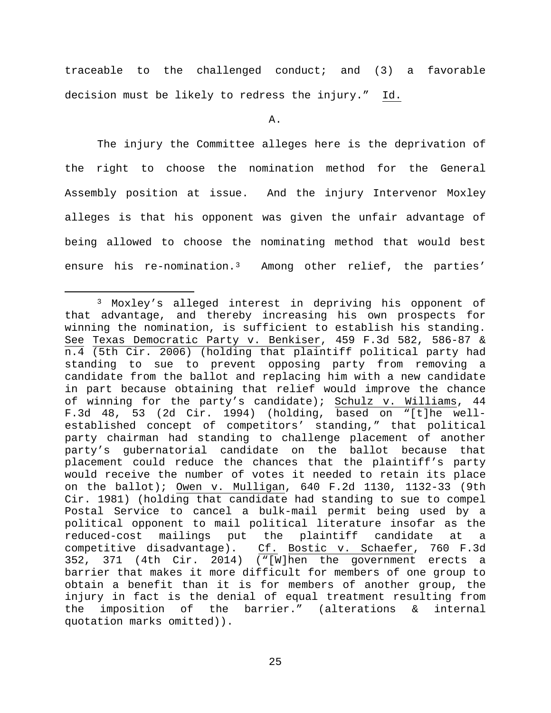traceable to the challenged conduct; and (3) a favorable decision must be likely to redress the injury." Id.

A.

The injury the Committee alleges here is the deprivation of the right to choose the nomination method for the General Assembly position at issue. And the injury Intervenor Moxley alleges is that his opponent was given the unfair advantage of being allowed to choose the nominating method that would best ensure his re-nomination.[3](#page-24-0) Among other relief, the parties'

<span id="page-24-0"></span> <sup>3</sup> Moxley's alleged interest in depriving his opponent of that advantage, and thereby increasing his own prospects for winning the nomination, is sufficient to establish his standing. See Texas Democratic Party v. Benkiser, 459 F.3d 582, 586-87 & n.4 (5th Cir. 2006) (holding that plaintiff political party had standing to sue to prevent opposing party from removing a candidate from the ballot and replacing him with a new candidate in part because obtaining that relief would improve the chance of winning for the party's candidate); Schulz v. Williams, 44 F.3d 48, 53 (2d Cir. 1994) (holding, based on "[t]he wellestablished concept of competitors' standing," that political party chairman had standing to challenge placement of another party's gubernatorial candidate on the ballot because that placement could reduce the chances that the plaintiff's party would receive the number of votes it needed to retain its place on the ballot); Owen v. Mulligan, 640 F.2d 1130, 1132-33 (9th Cir. 1981) (holding that candidate had standing to sue to compel Postal Service to cancel a bulk-mail permit being used by a political opponent to mail political literature insofar as the reduced-cost mailings put the plaintiff candidate at a competitive disadvantage). Cf. Bostic v. Schaefer, 760 F.3d 352, 371 (4th Cir. 2014) ("[W]hen the government erects a barrier that makes it more difficult for members of one group to obtain a benefit than it is for members of another group, the injury in fact is the denial of equal treatment resulting from<br>the imposition of the barrier." (alterations & internal imposition of the barrier." (alterations & internal quotation marks omitted)).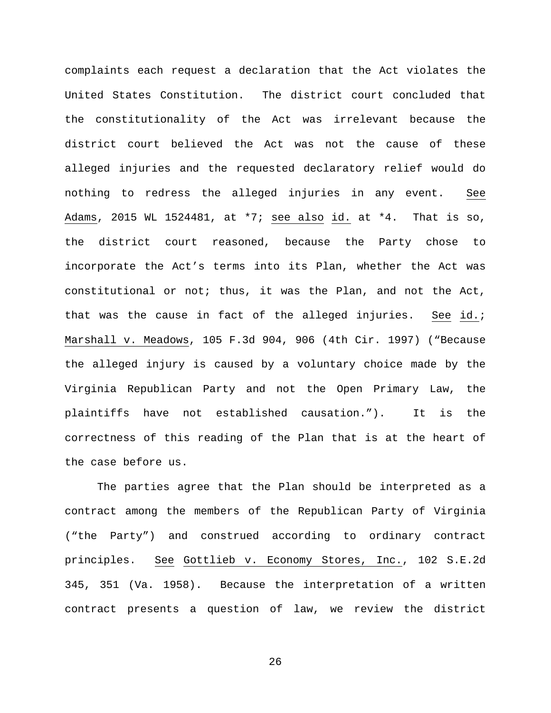complaints each request a declaration that the Act violates the United States Constitution. The district court concluded that the constitutionality of the Act was irrelevant because the district court believed the Act was not the cause of these alleged injuries and the requested declaratory relief would do nothing to redress the alleged injuries in any event. See Adams, 2015 WL 1524481, at \*7; see also id. at \*4. That is so, the district court reasoned, because the Party chose to incorporate the Act's terms into its Plan, whether the Act was constitutional or not; thus, it was the Plan, and not the Act, that was the cause in fact of the alleged injuries. See id.; Marshall v. Meadows, 105 F.3d 904, 906 (4th Cir. 1997) ("Because the alleged injury is caused by a voluntary choice made by the Virginia Republican Party and not the Open Primary Law, the plaintiffs have not established causation."). It is the correctness of this reading of the Plan that is at the heart of the case before us.

The parties agree that the Plan should be interpreted as a contract among the members of the Republican Party of Virginia ("the Party") and construed according to ordinary contract principles. See Gottlieb v. Economy Stores, Inc., 102 S.E.2d 345, 351 (Va. 1958). Because the interpretation of a written contract presents a question of law, we review the district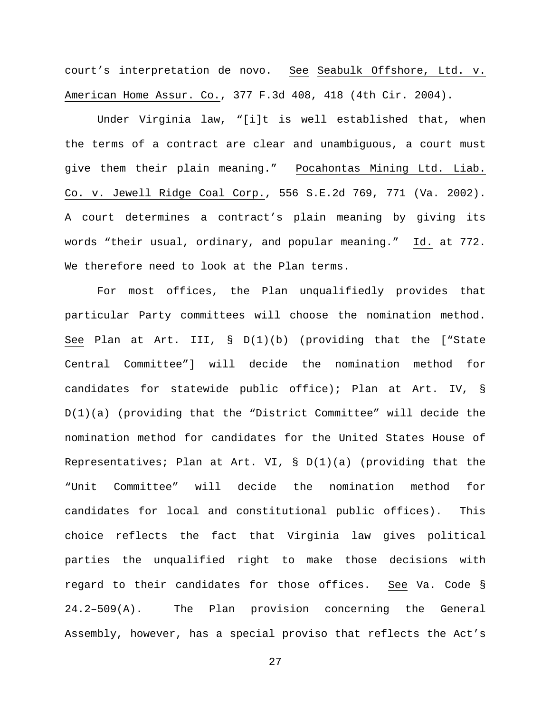court's interpretation de novo. See Seabulk Offshore, Ltd. v. American Home Assur. Co., 377 F.3d 408, 418 (4th Cir. 2004).

Under Virginia law, "[i]t is well established that, when the terms of a contract are clear and unambiguous, a court must give them their plain meaning." Pocahontas Mining Ltd. Liab. Co. v. Jewell Ridge Coal Corp., 556 S.E.2d 769, 771 (Va. 2002). A court determines a contract's plain meaning by giving its words "their usual, ordinary, and popular meaning." Id. at 772. We therefore need to look at the Plan terms.

For most offices, the Plan unqualifiedly provides that particular Party committees will choose the nomination method. See Plan at Art. III, § D(1)(b) (providing that the ["State Central Committee"] will decide the nomination method for candidates for statewide public office); Plan at Art. IV, § D(1)(a) (providing that the "District Committee" will decide the nomination method for candidates for the United States House of Representatives; Plan at Art. VI,  $\S$  D(1)(a) (providing that the "Unit Committee" will decide the nomination method for candidates for local and constitutional public offices). This choice reflects the fact that Virginia law gives political parties the unqualified right to make those decisions with regard to their candidates for those offices. See Va. Code § 24.2–509(A). The Plan provision concerning the General Assembly, however, has a special proviso that reflects the Act's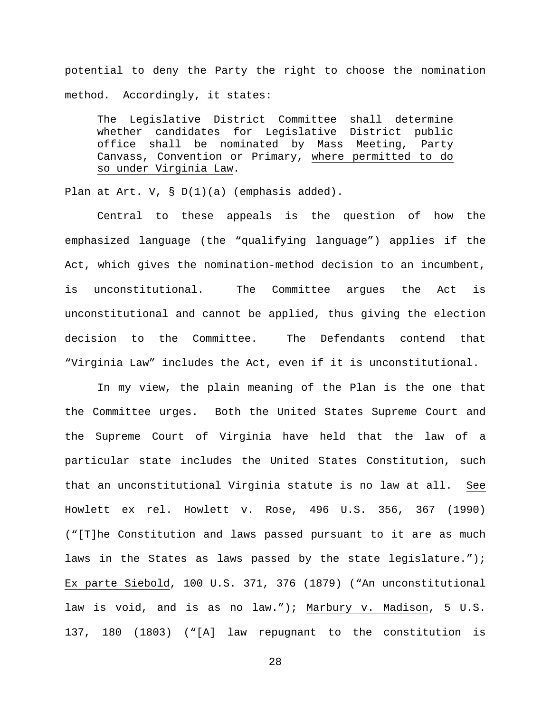potential to deny the Party the right to choose the nomination method. Accordingly, it states:

The Legislative District Committee shall determine whether candidates for Legislative District public office shall be nominated by Mass Meeting, Party Canvass, Convention or Primary, where permitted to do so under Virginia Law.

Plan at Art. V, § D(1)(a) (emphasis added).

Central to these appeals is the question of how the emphasized language (the "qualifying language") applies if the Act, which gives the nomination-method decision to an incumbent, is unconstitutional. The Committee argues the Act is unconstitutional and cannot be applied, thus giving the election decision to the Committee. The Defendants contend that "Virginia Law" includes the Act, even if it is unconstitutional.

In my view, the plain meaning of the Plan is the one that the Committee urges. Both the United States Supreme Court and the Supreme Court of Virginia have held that the law of a particular state includes the United States Constitution, such that an unconstitutional Virginia statute is no law at all. See Howlett ex rel. Howlett v. Rose, 496 U.S. 356, 367 (1990) ("[T]he Constitution and laws passed pursuant to it are as much laws in the States as laws passed by the state legislature."); Ex parte Siebold, 100 U.S. 371, 376 (1879) ("An unconstitutional law is void, and is as no law."); Marbury v. Madison, 5 U.S. 137, 180 (1803) ("[A] law repugnant to the constitution is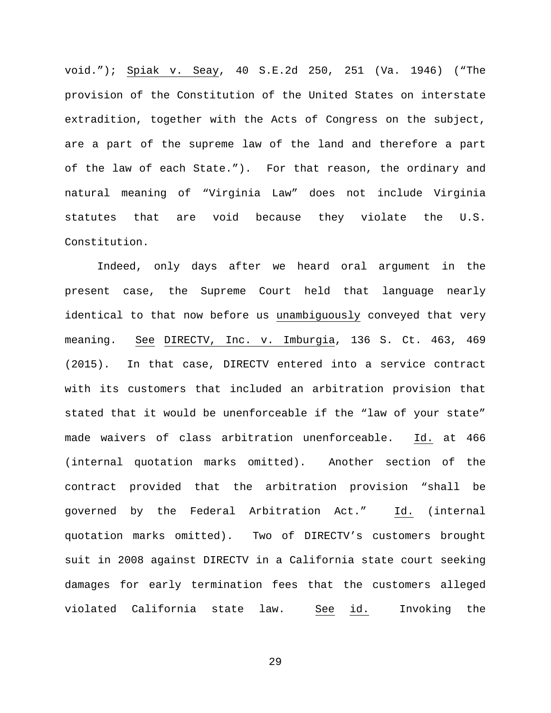void."); Spiak v. Seay, 40 S.E.2d 250, 251 (Va. 1946) ("The provision of the Constitution of the United States on interstate extradition, together with the Acts of Congress on the subject, are a part of the supreme law of the land and therefore a part of the law of each State."). For that reason, the ordinary and natural meaning of "Virginia Law" does not include Virginia statutes that are void because they violate the U.S. Constitution.

Indeed, only days after we heard oral argument in the present case, the Supreme Court held that language nearly identical to that now before us unambiguously conveyed that very meaning. See DIRECTV, Inc. v. Imburgia, 136 S. Ct. 463, 469 (2015). In that case, DIRECTV entered into a service contract with its customers that included an arbitration provision that stated that it would be unenforceable if the "law of your state" made waivers of class arbitration unenforceable. Id. at 466 (internal quotation marks omitted). Another section of the contract provided that the arbitration provision "shall be governed by the Federal Arbitration Act." Id. (internal quotation marks omitted). Two of DIRECTV's customers brought suit in 2008 against DIRECTV in a California state court seeking damages for early termination fees that the customers alleged violated California state law. See id. Invoking the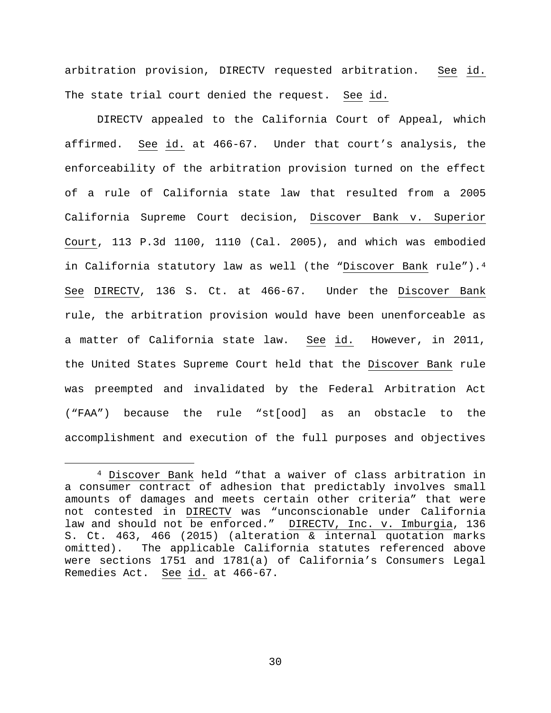arbitration provision, DIRECTV requested arbitration. See id. The state trial court denied the request. See id.

DIRECTV appealed to the California Court of Appeal, which affirmed. See id. at 466-67. Under that court's analysis, the enforceability of the arbitration provision turned on the effect of a rule of California state law that resulted from a 2005 California Supreme Court decision, Discover Bank v. Superior Court, 113 P.3d 1100, 1110 (Cal. 2005), and which was embodied in California statutory law as well (the "Discover Bank rule").[4](#page-29-0) See DIRECTV, 136 S. Ct. at 466-67. Under the Discover Bank rule, the arbitration provision would have been unenforceable as a matter of California state law. See id. However, in 2011, the United States Supreme Court held that the Discover Bank rule was preempted and invalidated by the Federal Arbitration Act ("FAA") because the rule "st[ood] as an obstacle to the accomplishment and execution of the full purposes and objectives

<span id="page-29-0"></span> <sup>4</sup> Discover Bank held "that a waiver of class arbitration in a consumer contract of adhesion that predictably involves small amounts of damages and meets certain other criteria" that were not contested in DIRECTV was "unconscionable under California law and should not be enforced." DIRECTV, Inc. v. Imburgia, 136 S. Ct. 463, 466 (2015) (alteration & internal quotation marks omitted). The applicable California statutes referenced above were sections 1751 and 1781(a) of California's Consumers Legal Remedies Act. See id. at 466-67.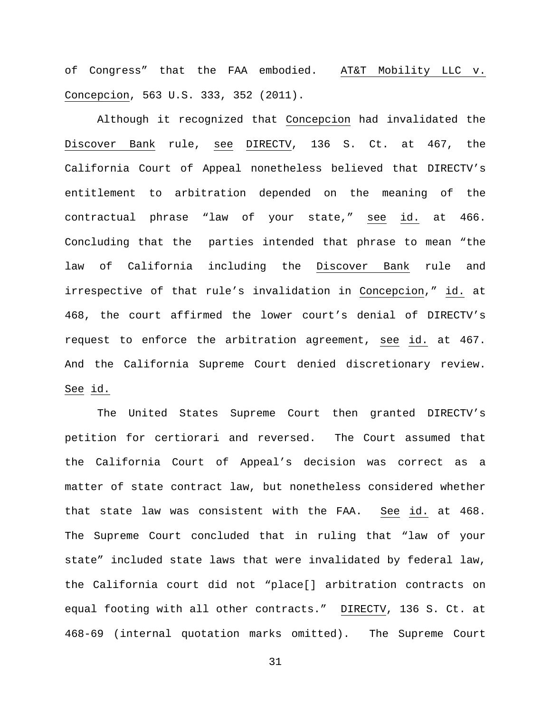of Congress" that the FAA embodied. AT&T Mobility LLC v. Concepcion, 563 U.S. 333, 352 (2011).

Although it recognized that Concepcion had invalidated the Discover Bank rule, see DIRECTV, 136 S. Ct. at 467, the California Court of Appeal nonetheless believed that DIRECTV's entitlement to arbitration depended on the meaning of the contractual phrase "law of your state," see id. at 466. Concluding that the parties intended that phrase to mean "the law of California including the Discover Bank rule and irrespective of that rule's invalidation in Concepcion," id. at 468, the court affirmed the lower court's denial of DIRECTV's request to enforce the arbitration agreement, see id. at 467. And the California Supreme Court denied discretionary review. See id.

The United States Supreme Court then granted DIRECTV's petition for certiorari and reversed. The Court assumed that the California Court of Appeal's decision was correct as a matter of state contract law, but nonetheless considered whether that state law was consistent with the FAA. See id. at 468. The Supreme Court concluded that in ruling that "law of your state" included state laws that were invalidated by federal law, the California court did not "place[] arbitration contracts on equal footing with all other contracts." DIRECTV, 136 S. Ct. at 468-69 (internal quotation marks omitted). The Supreme Court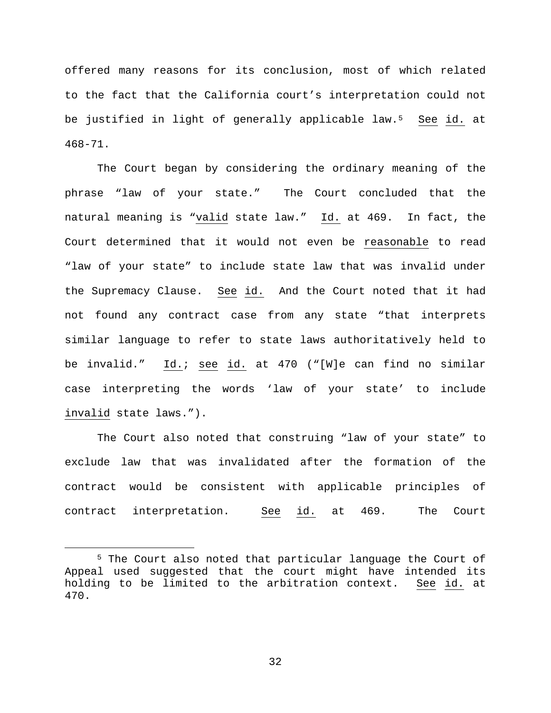offered many reasons for its conclusion, most of which related to the fact that the California court's interpretation could not be justified in light of generally applicable law.<sup>5</sup> See id. at 468-71.

The Court began by considering the ordinary meaning of the phrase "law of your state." The Court concluded that the natural meaning is "valid state law." Id. at 469. In fact, the Court determined that it would not even be reasonable to read "law of your state" to include state law that was invalid under the Supremacy Clause. See id. And the Court noted that it had not found any contract case from any state "that interprets similar language to refer to state laws authoritatively held to be invalid." Id.; see id. at 470 ("[W]e can find no similar case interpreting the words 'law of your state' to include invalid state laws.").

The Court also noted that construing "law of your state" to exclude law that was invalidated after the formation of the contract would be consistent with applicable principles of contract interpretation. See id. at 469. The Court

<span id="page-31-0"></span> <sup>5</sup> The Court also noted that particular language the Court of Appeal used suggested that the court might have intended its holding to be limited to the arbitration context. See id. at 470.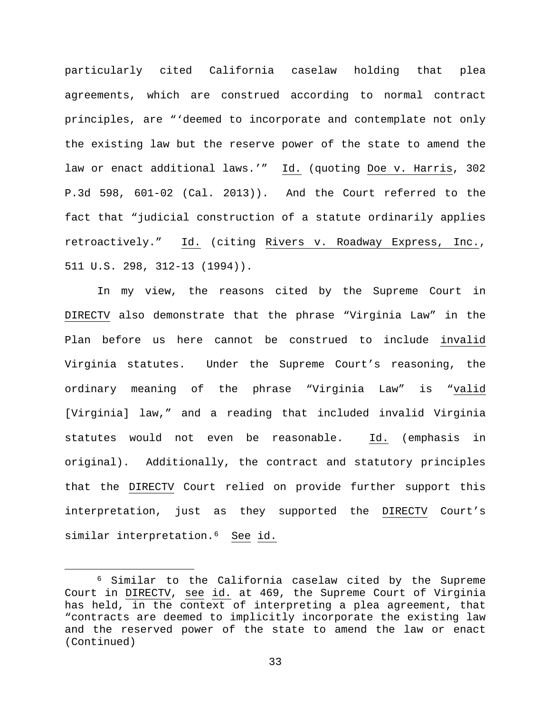particularly cited California caselaw holding that plea agreements, which are construed according to normal contract principles, are "'deemed to incorporate and contemplate not only the existing law but the reserve power of the state to amend the law or enact additional laws.'" Id. (quoting Doe v. Harris, 302 P.3d 598, 601-02 (Cal. 2013)). And the Court referred to the fact that "judicial construction of a statute ordinarily applies retroactively." Id. (citing Rivers v. Roadway Express, Inc., 511 U.S. 298, 312-13 (1994)).

In my view, the reasons cited by the Supreme Court in DIRECTV also demonstrate that the phrase "Virginia Law" in the Plan before us here cannot be construed to include invalid Virginia statutes. Under the Supreme Court's reasoning, the ordinary meaning of the phrase "Virginia Law" is "valid [Virginia] law," and a reading that included invalid Virginia statutes would not even be reasonable. Id. (emphasis in original). Additionally, the contract and statutory principles that the DIRECTV Court relied on provide further support this interpretation, just as they supported the DIRECTV Court's similar interpretation.<sup>6</sup> See id.

<span id="page-32-0"></span> <sup>6</sup> Similar to the California caselaw cited by the Supreme Court in DIRECTV, see id. at 469, the Supreme Court of Virginia has held, in the context of interpreting a plea agreement, that "contracts are deemed to implicitly incorporate the existing law and the reserved power of the state to amend the law or enact (Continued)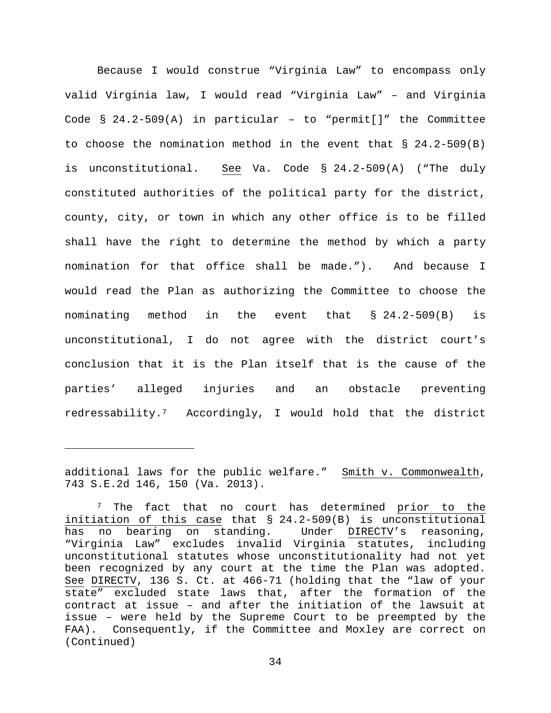Because I would construe "Virginia Law" to encompass only valid Virginia law, I would read "Virginia Law" – and Virginia Code § 24.2-509(A) in particular – to "permit[]" the Committee to choose the nomination method in the event that  $\S$  24.2-509(B) is unconstitutional. See Va. Code § 24.2-509(A) ("The duly constituted authorities of the political party for the district, county, city, or town in which any other office is to be filled shall have the right to determine the method by which a party nomination for that office shall be made."). And because I would read the Plan as authorizing the Committee to choose the nominating method in the event that § 24.2-509(B) is unconstitutional, I do not agree with the district court's conclusion that it is the Plan itself that is the cause of the parties' alleged injuries and an obstacle preventing redressability.[7](#page-33-0) Accordingly, I would hold that the district

Ĩ.

additional laws for the public welfare." Smith  $v$ . Commonwealth, 743 S.E.2d 146, 150 (Va. 2013).

<span id="page-33-0"></span><sup>&</sup>lt;sup>7</sup> The fact that no court has determined prior to the initiation of this case that § 24.2-509(B) is unconstitutional<br>has no bearing on standing. Under DIRECTV's reasoning, Under DIRECTV's reasoning, "Virginia Law" excludes invalid Virginia statutes, including unconstitutional statutes whose unconstitutionality had not yet been recognized by any court at the time the Plan was adopted. See DIRECTV, 136 S. Ct. at 466-71 (holding that the "law of your state" excluded state laws that, after the formation of the contract at issue – and after the initiation of the lawsuit at issue – were held by the Supreme Court to be preempted by the FAA). Consequently, if the Committee and Moxley are correct on (Continued)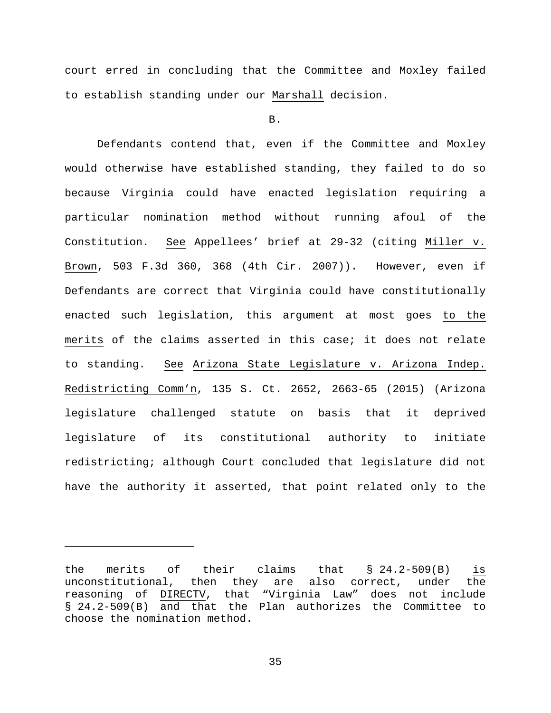court erred in concluding that the Committee and Moxley failed to establish standing under our Marshall decision.

B.

Defendants contend that, even if the Committee and Moxley would otherwise have established standing, they failed to do so because Virginia could have enacted legislation requiring a particular nomination method without running afoul of the Constitution. See Appellees' brief at 29-32 (citing Miller v. Brown, 503 F.3d 360, 368 (4th Cir. 2007)). However, even if Defendants are correct that Virginia could have constitutionally enacted such legislation, this argument at most goes to the merits of the claims asserted in this case; it does not relate to standing. See Arizona State Legislature v. Arizona Indep. Redistricting Comm'n, 135 S. Ct. 2652, 2663-65 (2015) (Arizona legislature challenged statute on basis that it deprived legislature of its constitutional authority to initiate redistricting; although Court concluded that legislature did not have the authority it asserted, that point related only to the

Ĩ.

the merits of their claims that § 24.2-509(B) is<br>unconstitutional, then they are also correct, under the then they are also correct, under the reasoning of DIRECTV, that "Virginia Law" does not include § 24.2-509(B) and that the Plan authorizes the Committee to choose the nomination method.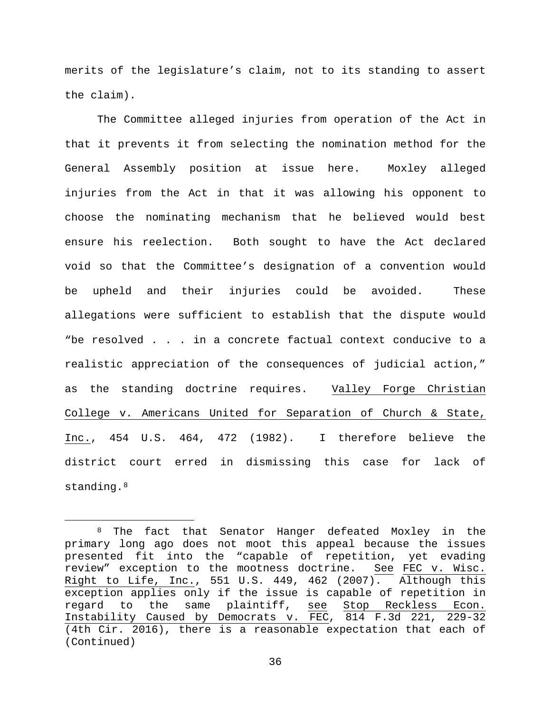merits of the legislature's claim, not to its standing to assert the claim).

The Committee alleged injuries from operation of the Act in that it prevents it from selecting the nomination method for the General Assembly position at issue here. Moxley alleged injuries from the Act in that it was allowing his opponent to choose the nominating mechanism that he believed would best ensure his reelection. Both sought to have the Act declared void so that the Committee's designation of a convention would be upheld and their injuries could be avoided. These allegations were sufficient to establish that the dispute would "be resolved . . . in a concrete factual context conducive to a realistic appreciation of the consequences of judicial action," as the standing doctrine requires. Valley Forge Christian College v. Americans United for Separation of Church & State, Inc., 454 U.S. 464, 472 (1982). I therefore believe the district court erred in dismissing this case for lack of standing.<sup>[8](#page-35-0)</sup>

<span id="page-35-0"></span> <sup>8</sup> The fact that Senator Hanger defeated Moxley in the primary long ago does not moot this appeal because the issues presented fit into the "capable of repetition, yet evading review" exception to the mootness doctrine. See FEC v. Wisc. Right to Life, Inc., 551 U.S. 449, 462 (2007). Although this exception applies only if the issue is capable of repetition in regard to the same plaintiff, see Stop Reckless Econ. Instability Caused by Democrats v. FEC, 814 F.3d 221, 229-32 (4th Cir. 2016), there is a reasonable expectation that each of (Continued)